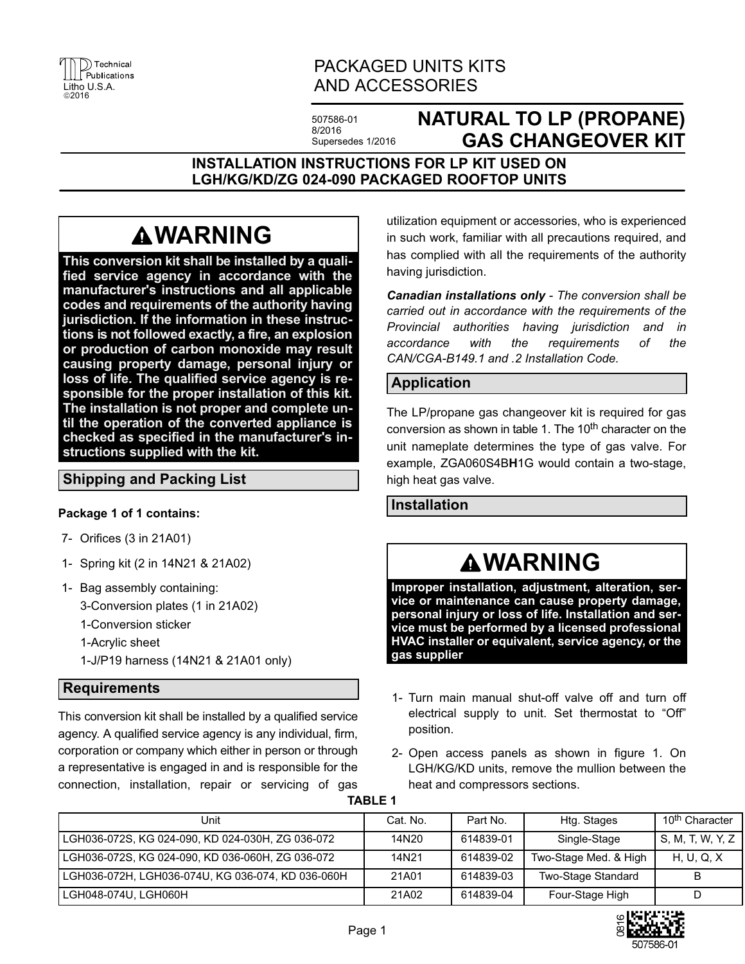

# PACKAGED UNITS KITS AND ACCESSORIES

507586-01 8/2016 Supersedes 1/2016

# **NATURAL TO LP (PROPANE) GAS CHANGEOVER KIT**

## **INSTALLATION INSTRUCTIONS FOR LP KIT USED ON LGH/KG/KD/ZG 024-090 PACKAGED ROOFTOP UNITS**

# **WARNING**

**This conversion kit shall be installed by a qualified service agency in accordance with the manufacturer's instructions and all applicable codes and requirements of the authority having jurisdiction. If the information in these instructions is not followed exactly, a fire, an explosion or production of carbon monoxide may result causing property damage, personal injury or loss of life. The qualified service agency is responsible for the proper installation of this kit. The installation is not proper and complete until the operation of the converted appliance is checked as specified in the manufacturer's instructions supplied with the kit.**

# **Shipping and Packing List**

#### **Package 1 of 1 contains:**

- 7- Orifices (3 in 21A01)
- 1- Spring kit (2 in 14N21 & 21A02)
- 1- Bag assembly containing: 3-Conversion plates (1 in 21A02) 1-Conversion sticker
	- 1-Acrylic sheet
	- 1-J/P19 harness (14N21 & 21A01 only)

## **Requirements**

This conversion kit shall be installed by a qualified service agency. A qualified service agency is any individual, firm, corporation or company which either in person or through a representative is engaged in and is responsible for the connection, installation, repair or servicing of gas

utilization equipment or accessories, who is experienced in such work, familiar with all precautions required, and has complied with all the requirements of the authority having jurisdiction.

*Canadian installations only - The conversion shall be carried out in accordance with the requirements of the Provincial authorities having jurisdiction and in accordance with the requirements of the CAN/CGA-B149.1 and .2 Installation Code.*

## **Application**

The LP/propane gas changeover kit is required for gas conversion as shown in table 1. The 10<sup>th</sup> character on the unit nameplate determines the type of gas valve. For example, ZGA060S4B**H**1G would contain a two-stage, high heat gas valve.

### **Installation**

# **WARNING**

**Improper installation, adjustment, alteration, service or maintenance can cause property damage, personal injury or loss of life. Installation and service must be performed by a licensed professional HVAC installer or equivalent, service agency, or the gas supplier**

- 1- Turn main manual shut-off valve off and turn off electrical supply to unit. Set thermostat to "Off" position.
- 2- Open access panels as shown in figure [1.](#page-1-0) On LGH/KG/KD units, remove the mullion between the heat and compressors sections.

| u. |  |
|----|--|
|    |  |

| Unit                                              | Cat. No. | Part No.  | Htg. Stages               | 10 <sup>th</sup> Character |
|---------------------------------------------------|----------|-----------|---------------------------|----------------------------|
| LGH036-072S, KG 024-090, KD 024-030H, ZG 036-072  | 14N20    | 614839-01 | Single-Stage              | S, M, T, W, Y, Z           |
| LGH036-072S, KG 024-090, KD 036-060H, ZG 036-072  | 14N21    | 614839-02 | Two-Stage Med. & High     | H, U, Q, X                 |
| LGH036-072H, LGH036-074U, KG 036-074, KD 036-060H | 21A01    | 614839-03 | <b>Two-Stage Standard</b> | B                          |
| LGH048-074U, LGH060H                              | 21A02    | 614839-04 | Four-Stage High           | D                          |

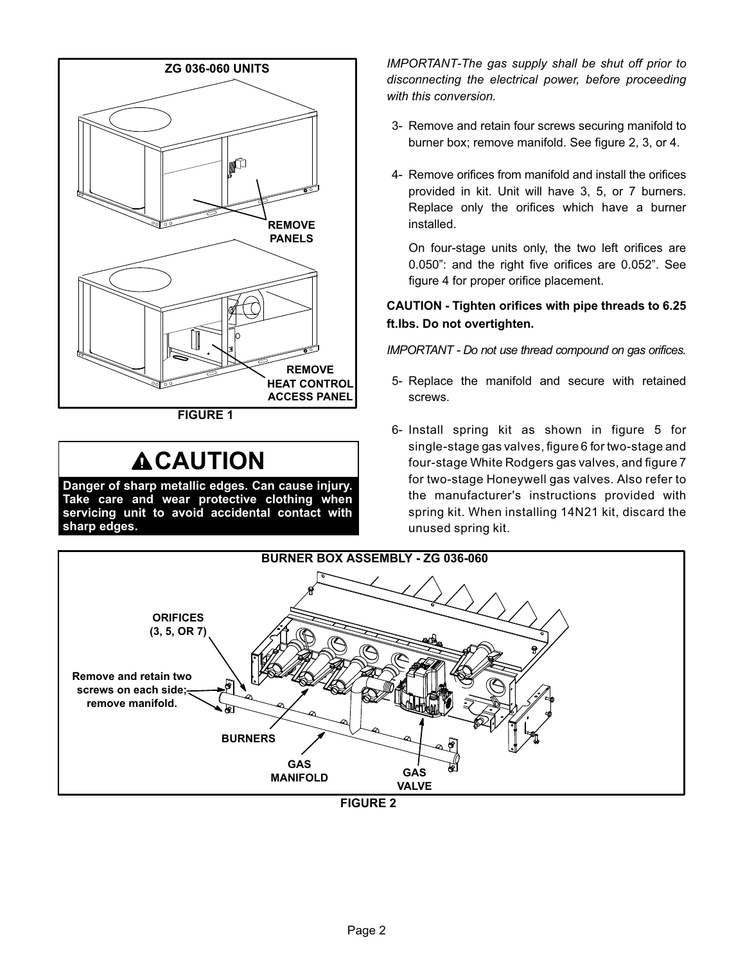<span id="page-1-0"></span>

**FIGURE 1**

# **ACAUTION**

**Danger of sharp metallic edges. Can cause injury. Take care and wear protective clothing when servicing unit to avoid accidental contact with sharp edges.**

*IMPORTANT-The gas supply shall be shut off prior to disconnecting the electrical power, before proceeding with this conversion.*

- 3- Remove and retain four screws securing manifold to burner box; remove manifold. See figure 2, [3,](#page-2-0) or [4](#page-2-0).
- 4- Remove orifices from manifold and install the orifices provided in kit. Unit will have 3, 5, or 7 burners. Replace only the orifices which have a burner installed.

On four-stage units only, the two left orifices are 0.050": and the right five orifices are 0.052". See figure [4](#page-2-0) for proper orifice placement.

#### **CAUTION - Tighten orifices with pipe threads to 6.25 ft.lbs. Do not overtighten.**

*IMPORTANT - Do not use thread compound on gas orifices.*

- 5- Replace the manifold and secure with retained screws.
- 6- Install spring kit as shown in figure [5](#page-3-0) for single-stage gas valves, figure [6](#page-3-0) for two-stage and four-stage White Rodgers gas valves, and figure [7](#page-3-0) for two-stage Honeywell gas valves. Also refer to the manufacturer's instructions provided with spring kit. When installing 14N21 kit, discard the unused spring kit.



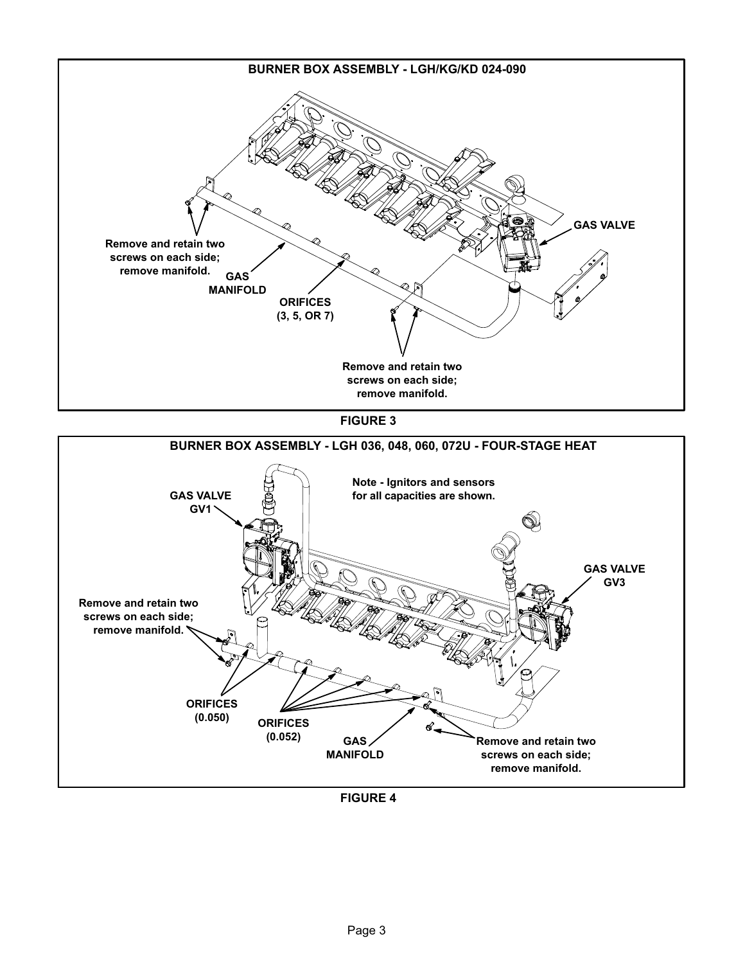<span id="page-2-0"></span>

**FIGURE 3**



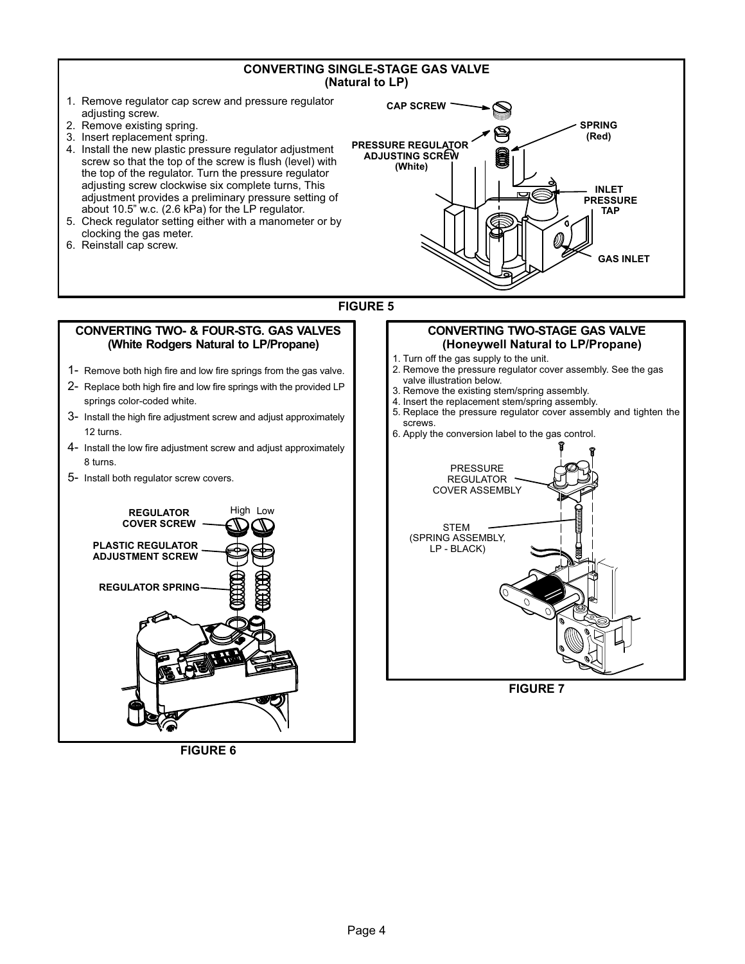#### **CONVERTING SINGLE-STAGE GAS VALVE (Natural to LP)**

- <span id="page-3-0"></span>1. Remove regulator cap screw and pressure regulator adjusting screw.
- 2. Remove existing spring.
- 3. Insert replacement spring.
- 4. Install the new plastic pressure regulator adjustment screw so that the top of the screw is flush (level) with the top of the regulator. Turn the pressure regulator adjusting screw clockwise six complete turns, This adjustment provides a preliminary pressure setting of about 10.5" w.c. (2.6 kPa) for the LP regulator.
- 5. Check regulator setting either with a manometer or by clocking the gas meter.
- 6. Reinstall cap screw.



#### **FIGURE 5**

#### **CONVERTING TWO- & FOUR-STG. GAS VALVES (White Rodgers Natural to LP/Propane)**

- 1- Remove both high fire and low fire springs from the gas valve.
- 2- Replace both high fire and low fire springs with the provided LP springs color-coded white.
- 3- Install the high fire adjustment screw and adjust approximately 12 turns.
- 4- Install the low fire adjustment screw and adjust approximately 8 turns.
- 5- Install both regulator screw covers.



**FIGURE 6**

#### **CONVERTING TWO-STAGE GAS VALVE (Honeywell Natural to LP/Propane)**

- 1. Turn off the gas supply to the unit.
- 2. Remove the pressure regulator cover assembly. See the gas valve illustration below.
- 3. Remove the existing stem/spring assembly.
- 4. Insert the replacement stem/spring assembly.
- 5. Replace the pressure regulator cover assembly and tighten the screws.
- 6. Apply the conversion label to the gas control.

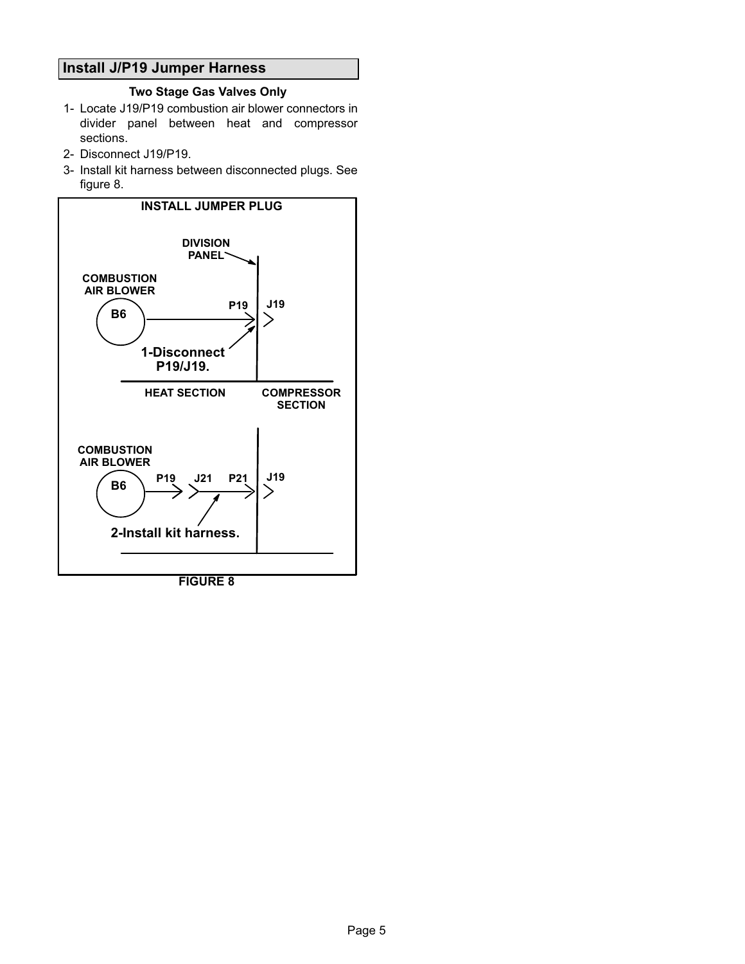## **Install J/P19 Jumper Harness**

#### **Two Stage Gas Valves Only**

- 1- Locate J19/P19 combustion air blower connectors in divider panel between heat and compressor sections.
- 2- Disconnect J19/P19.
- 3- Install kit harness between disconnected plugs. See figure 8.



**FIGURE 8**